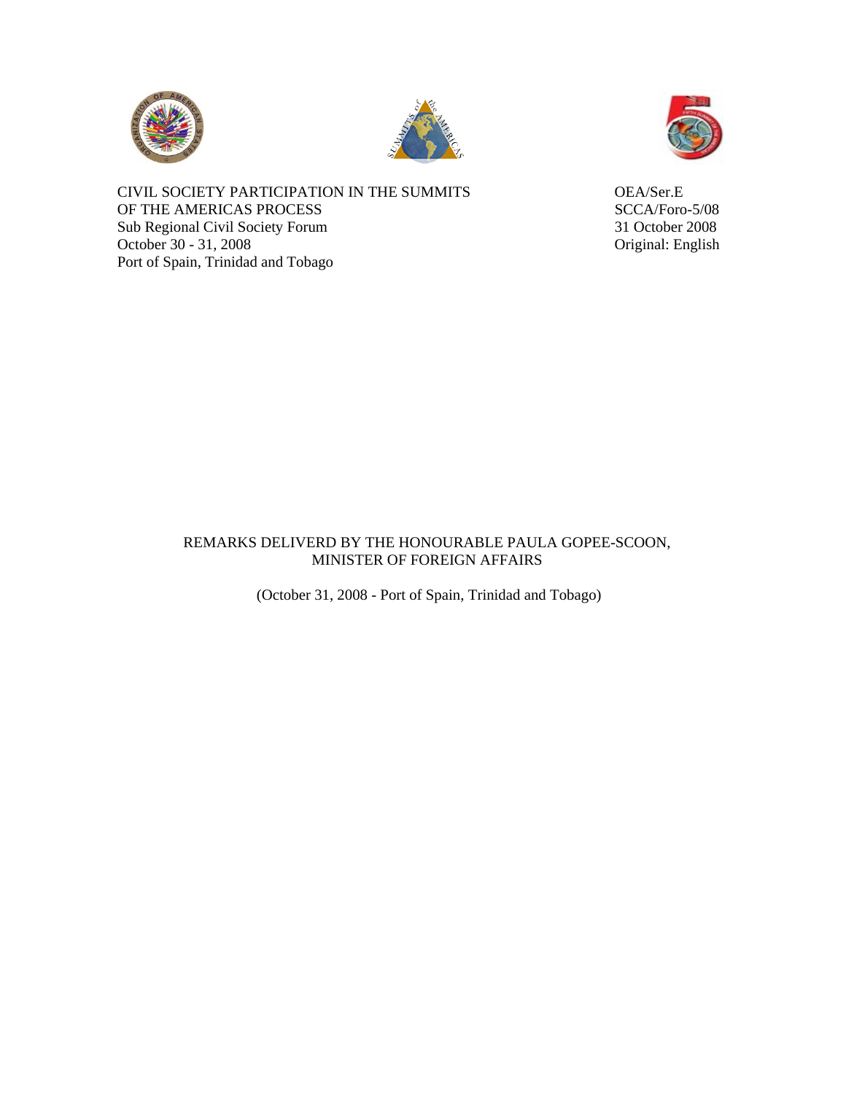





CIVIL SOCIETY PARTICIPATION IN THE SUMMITS OEA/Ser.E OF THE AMERICAS PROCESS SCCA/Foro-5/08 Sub Regional Civil Society Forum 31 October 2008<br>
October 30 - 31, 2008<br>
Original: English October 30 - 31, 2008 Port of Spain, Trinidad and Tobago

## REMARKS DELIVERD BY THE HONOURABLE PAULA GOPEE-SCOON, MINISTER OF FOREIGN AFFAIRS

(October 31, 2008 - Port of Spain, Trinidad and Tobago)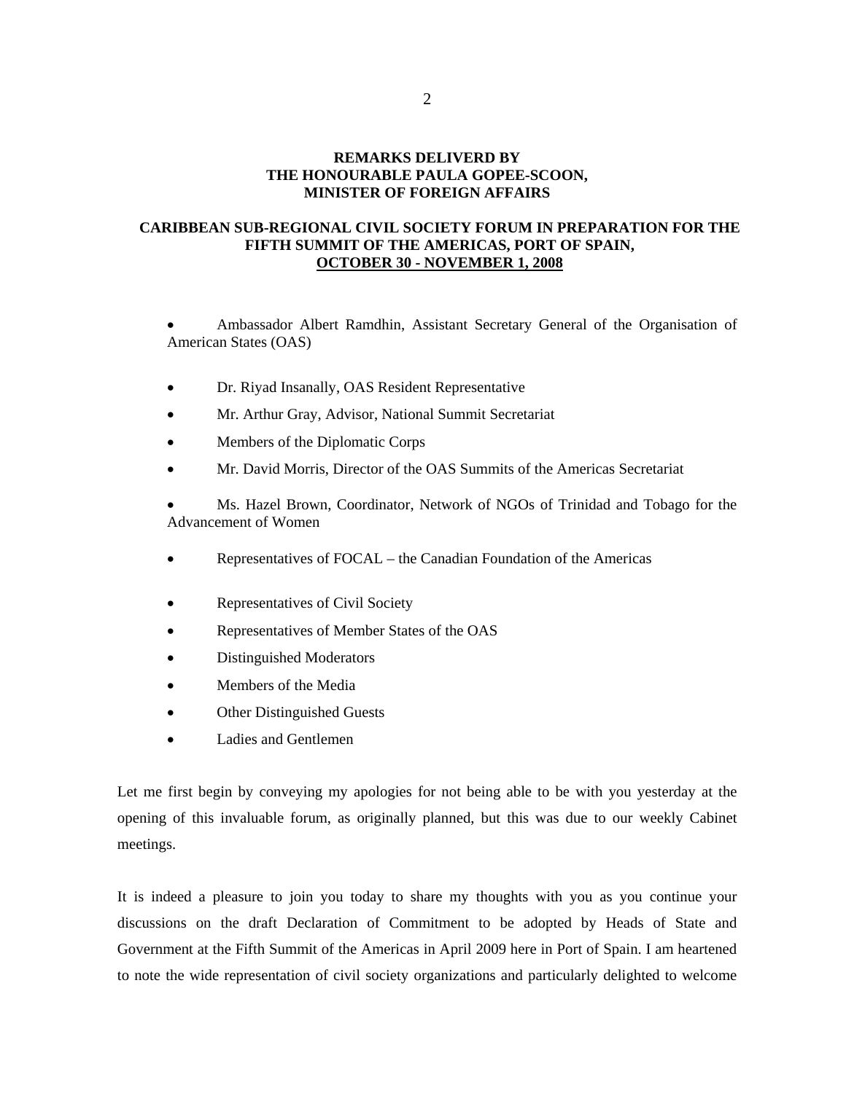## **REMARKS DELIVERD BY THE HONOURABLE PAULA GOPEE-SCOON, MINISTER OF FOREIGN AFFAIRS**

## **CARIBBEAN SUB-REGIONAL CIVIL SOCIETY FORUM IN PREPARATION FOR THE FIFTH SUMMIT OF THE AMERICAS, PORT OF SPAIN, OCTOBER 30 - NOVEMBER 1, 2008**

 Ambassador Albert Ramdhin, Assistant Secretary General of the Organisation of American States (OAS)

- Dr. Riyad Insanally, OAS Resident Representative
- Mr. Arthur Gray, Advisor, National Summit Secretariat
- Members of the Diplomatic Corps
- Mr. David Morris, Director of the OAS Summits of the Americas Secretariat

 Ms. Hazel Brown, Coordinator, Network of NGOs of Trinidad and Tobago for the Advancement of Women

- Representatives of FOCAL the Canadian Foundation of the Americas
- Representatives of Civil Society
- Representatives of Member States of the OAS
- Distinguished Moderators
- Members of the Media
- Other Distinguished Guests
- Ladies and Gentlemen

Let me first begin by conveying my apologies for not being able to be with you yesterday at the opening of this invaluable forum, as originally planned, but this was due to our weekly Cabinet meetings.

It is indeed a pleasure to join you today to share my thoughts with you as you continue your discussions on the draft Declaration of Commitment to be adopted by Heads of State and Government at the Fifth Summit of the Americas in April 2009 here in Port of Spain. I am heartened to note the wide representation of civil society organizations and particularly delighted to welcome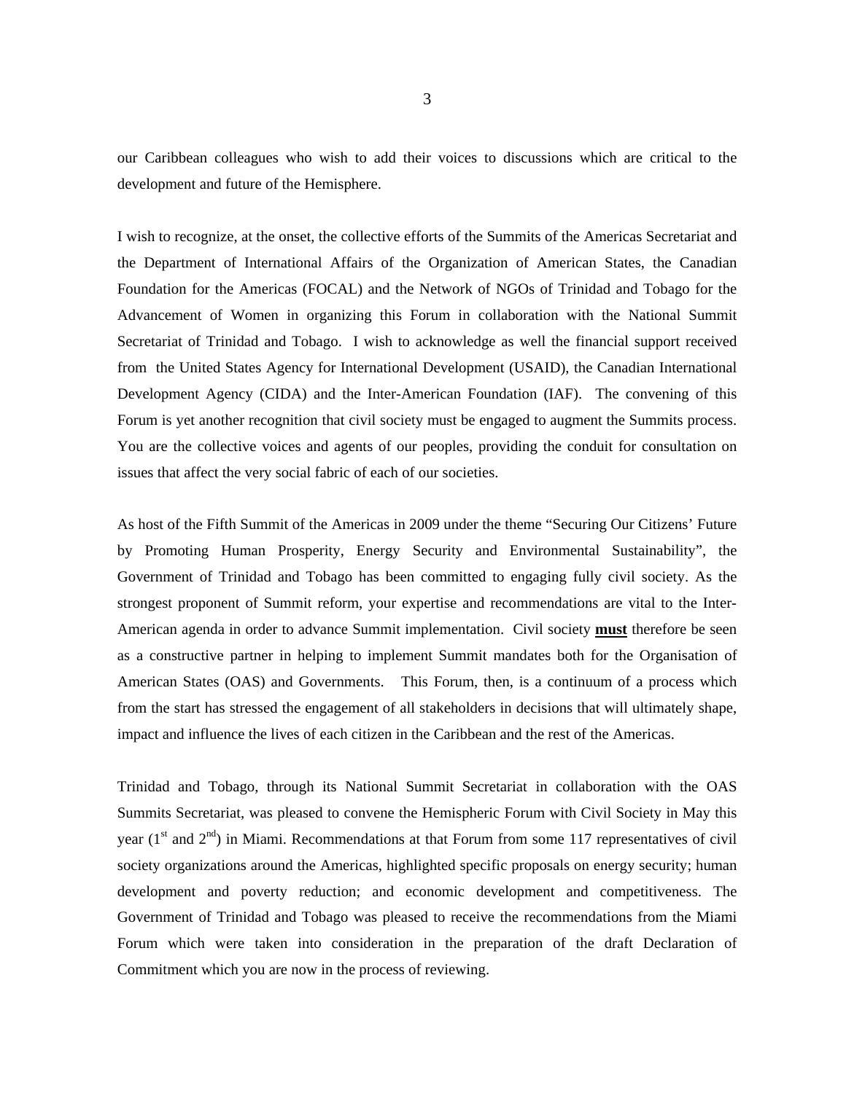our Caribbean colleagues who wish to add their voices to discussions which are critical to the development and future of the Hemisphere.

I wish to recognize, at the onset, the collective efforts of the Summits of the Americas Secretariat and the Department of International Affairs of the Organization of American States, the Canadian Foundation for the Americas (FOCAL) and the Network of NGOs of Trinidad and Tobago for the Advancement of Women in organizing this Forum in collaboration with the National Summit Secretariat of Trinidad and Tobago. I wish to acknowledge as well the financial support received from the United States Agency for International Development (USAID), the Canadian International Development Agency (CIDA) and the Inter-American Foundation (IAF). The convening of this Forum is yet another recognition that civil society must be engaged to augment the Summits process. You are the collective voices and agents of our peoples, providing the conduit for consultation on issues that affect the very social fabric of each of our societies.

As host of the Fifth Summit of the Americas in 2009 under the theme "Securing Our Citizens' Future by Promoting Human Prosperity, Energy Security and Environmental Sustainability", the Government of Trinidad and Tobago has been committed to engaging fully civil society. As the strongest proponent of Summit reform, your expertise and recommendations are vital to the Inter-American agenda in order to advance Summit implementation. Civil society **must** therefore be seen as a constructive partner in helping to implement Summit mandates both for the Organisation of American States (OAS) and Governments. This Forum, then, is a continuum of a process which from the start has stressed the engagement of all stakeholders in decisions that will ultimately shape, impact and influence the lives of each citizen in the Caribbean and the rest of the Americas.

Trinidad and Tobago, through its National Summit Secretariat in collaboration with the OAS Summits Secretariat, was pleased to convene the Hemispheric Forum with Civil Society in May this year  $(1<sup>st</sup>$  and  $2<sup>nd</sup>)$  in Miami. Recommendations at that Forum from some 117 representatives of civil society organizations around the Americas, highlighted specific proposals on energy security; human development and poverty reduction; and economic development and competitiveness. The Government of Trinidad and Tobago was pleased to receive the recommendations from the Miami Forum which were taken into consideration in the preparation of the draft Declaration of Commitment which you are now in the process of reviewing.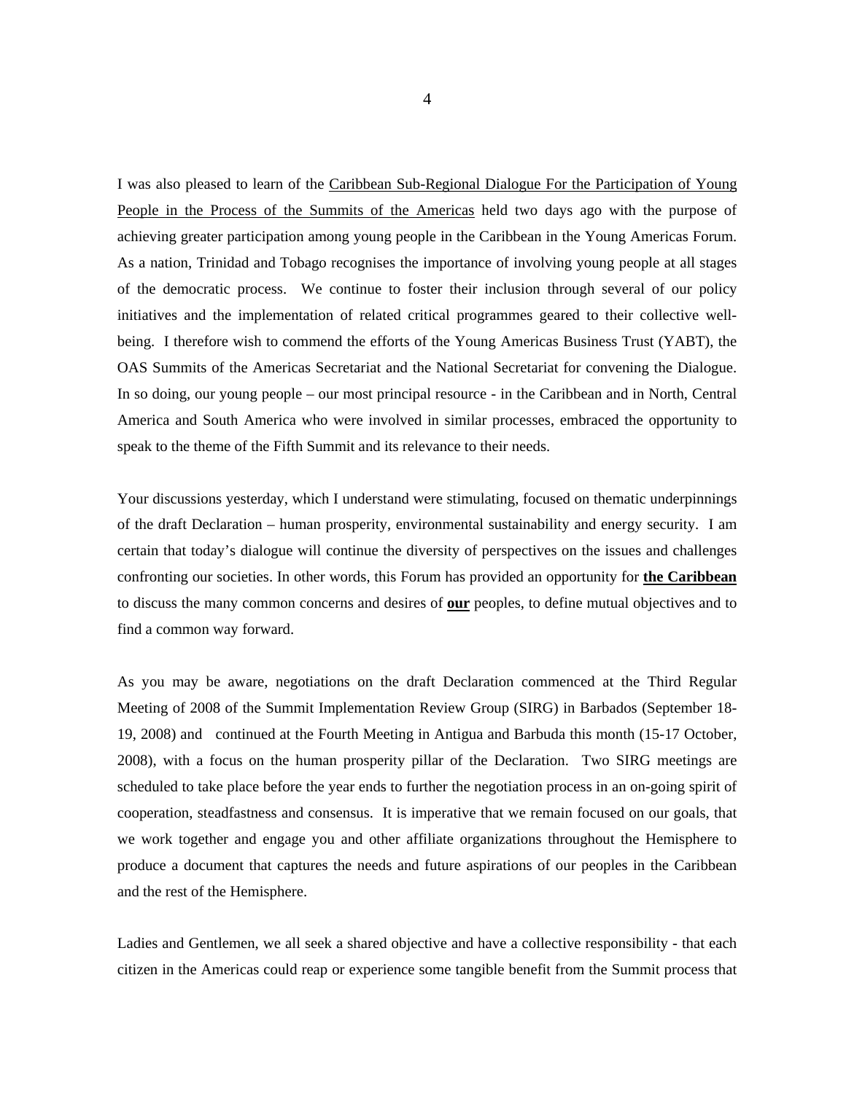I was also pleased to learn of the Caribbean Sub-Regional Dialogue For the Participation of Young People in the Process of the Summits of the Americas held two days ago with the purpose of achieving greater participation among young people in the Caribbean in the Young Americas Forum. As a nation, Trinidad and Tobago recognises the importance of involving young people at all stages of the democratic process. We continue to foster their inclusion through several of our policy initiatives and the implementation of related critical programmes geared to their collective wellbeing. I therefore wish to commend the efforts of the Young Americas Business Trust (YABT), the OAS Summits of the Americas Secretariat and the National Secretariat for convening the Dialogue. In so doing, our young people – our most principal resource - in the Caribbean and in North, Central America and South America who were involved in similar processes, embraced the opportunity to speak to the theme of the Fifth Summit and its relevance to their needs.

Your discussions yesterday, which I understand were stimulating, focused on thematic underpinnings of the draft Declaration – human prosperity, environmental sustainability and energy security. I am certain that today's dialogue will continue the diversity of perspectives on the issues and challenges confronting our societies. In other words, this Forum has provided an opportunity for **the Caribbean** to discuss the many common concerns and desires of **our** peoples, to define mutual objectives and to find a common way forward.

As you may be aware, negotiations on the draft Declaration commenced at the Third Regular Meeting of 2008 of the Summit Implementation Review Group (SIRG) in Barbados (September 18- 19, 2008) and continued at the Fourth Meeting in Antigua and Barbuda this month (15-17 October, 2008), with a focus on the human prosperity pillar of the Declaration. Two SIRG meetings are scheduled to take place before the year ends to further the negotiation process in an on-going spirit of cooperation, steadfastness and consensus. It is imperative that we remain focused on our goals, that we work together and engage you and other affiliate organizations throughout the Hemisphere to produce a document that captures the needs and future aspirations of our peoples in the Caribbean and the rest of the Hemisphere.

Ladies and Gentlemen, we all seek a shared objective and have a collective responsibility - that each citizen in the Americas could reap or experience some tangible benefit from the Summit process that